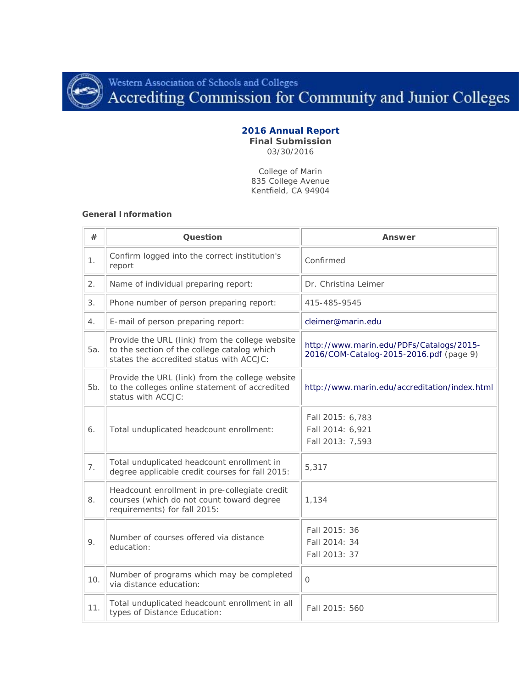

Western Association of Schools and Colleges<br>Accrediting Commission for Community and Junior Colleges

# **2016 Annual Report**

**Final Submission** 03/30/2016

College of Marin 835 College Avenue Kentfield, CA 94904

#### **General Information**

| #   | Question                                                                                                                                   | Answer                                                                              |
|-----|--------------------------------------------------------------------------------------------------------------------------------------------|-------------------------------------------------------------------------------------|
| 1.  | Confirm logged into the correct institution's<br>report                                                                                    | Confirmed                                                                           |
| 2.  | Name of individual preparing report:                                                                                                       | Dr. Christina Leimer                                                                |
| 3.  | Phone number of person preparing report:                                                                                                   | 415-485-9545                                                                        |
| 4.  | E-mail of person preparing report:                                                                                                         | cleimer@marin.edu                                                                   |
| 5а. | Provide the URL (link) from the college website<br>to the section of the college catalog which<br>states the accredited status with ACCJC: | http://www.marin.edu/PDFs/Catalogs/2015-<br>2016/COM-Catalog-2015-2016.pdf (page 9) |
| 5b. | Provide the URL (link) from the college website<br>to the colleges online statement of accredited<br>status with ACCJC:                    | http://www.marin.edu/accreditation/index.html                                       |
| 6.  | Total unduplicated headcount enrollment:                                                                                                   | Fall 2015: 6,783<br>Fall 2014: 6,921<br>Fall 2013: 7,593                            |
| 7.  | Total unduplicated headcount enrollment in<br>degree applicable credit courses for fall 2015:                                              | 5,317                                                                               |
| 8.  | Headcount enrollment in pre-collegiate credit<br>courses (which do not count toward degree<br>requirements) for fall 2015:                 | 1,134                                                                               |
| 9.  | Number of courses offered via distance<br>education:                                                                                       | Fall 2015: 36<br>Fall 2014: 34<br>Fall 2013: 37                                     |
| 10. | Number of programs which may be completed<br>via distance education:                                                                       | $\mathbf 0$                                                                         |
| 11. | Total unduplicated headcount enrollment in all<br>types of Distance Education:                                                             | Fall 2015: 560                                                                      |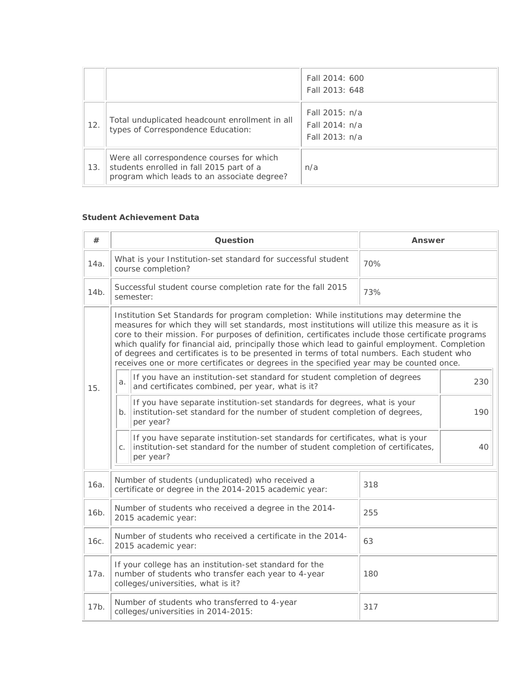|     |                                                                                                                                      | Fall 2014: 600<br>Fall 2013: 648                   |
|-----|--------------------------------------------------------------------------------------------------------------------------------------|----------------------------------------------------|
| 12. | Total unduplicated headcount enrollment in all<br>types of Correspondence Education:                                                 | Fall 2015: n/a<br>Fall 2014: n/a<br>Fall 2013; n/a |
| 13. | Were all correspondence courses for which<br>students enrolled in fall 2015 part of a<br>program which leads to an associate degree? | n/a                                                |

### **Student Achievement Data**

| #                                                                                                                                                                                                                                                                                                                                                                                                                                                                                                                                                                                            | <b>Question</b>                                                                                                                                                                    |                                                                                                                                                                    | Answer |     |
|----------------------------------------------------------------------------------------------------------------------------------------------------------------------------------------------------------------------------------------------------------------------------------------------------------------------------------------------------------------------------------------------------------------------------------------------------------------------------------------------------------------------------------------------------------------------------------------------|------------------------------------------------------------------------------------------------------------------------------------------------------------------------------------|--------------------------------------------------------------------------------------------------------------------------------------------------------------------|--------|-----|
| 14a.                                                                                                                                                                                                                                                                                                                                                                                                                                                                                                                                                                                         | What is your Institution-set standard for successful student<br>70%<br>course completion?                                                                                          |                                                                                                                                                                    |        |     |
| 14b.                                                                                                                                                                                                                                                                                                                                                                                                                                                                                                                                                                                         |                                                                                                                                                                                    | Successful student course completion rate for the fall 2015<br>semester:                                                                                           | 73%    |     |
| Institution Set Standards for program completion: While institutions may determine the<br>measures for which they will set standards, most institutions will utilize this measure as it is<br>core to their mission. For purposes of definition, certificates include those certificate programs<br>which qualify for financial aid, principally those which lead to gainful employment. Completion<br>of degrees and certificates is to be presented in terms of total numbers. Each student who<br>receives one or more certificates or degrees in the specified year may be counted once. |                                                                                                                                                                                    |                                                                                                                                                                    |        |     |
| 15.                                                                                                                                                                                                                                                                                                                                                                                                                                                                                                                                                                                          | If you have an institution-set standard for student completion of degrees<br>a.<br>and certificates combined, per year, what is it?                                                |                                                                                                                                                                    | 230    |     |
|                                                                                                                                                                                                                                                                                                                                                                                                                                                                                                                                                                                              | b.                                                                                                                                                                                 | If you have separate institution-set standards for degrees, what is your<br>institution-set standard for the number of student completion of degrees,<br>per year? |        | 190 |
|                                                                                                                                                                                                                                                                                                                                                                                                                                                                                                                                                                                              | If you have separate institution-set standards for certificates, what is your<br>institution-set standard for the number of student completion of certificates,<br>C.<br>per year? |                                                                                                                                                                    | 40     |     |
| 16a.                                                                                                                                                                                                                                                                                                                                                                                                                                                                                                                                                                                         | Number of students (unduplicated) who received a<br>certificate or degree in the 2014-2015 academic year:                                                                          |                                                                                                                                                                    | 318    |     |
| 16b.                                                                                                                                                                                                                                                                                                                                                                                                                                                                                                                                                                                         | Number of students who received a degree in the 2014-<br>2015 academic year:                                                                                                       |                                                                                                                                                                    | 255    |     |
| 16с.                                                                                                                                                                                                                                                                                                                                                                                                                                                                                                                                                                                         | Number of students who received a certificate in the 2014-<br>63<br>2015 academic year:                                                                                            |                                                                                                                                                                    |        |     |
| 17a.                                                                                                                                                                                                                                                                                                                                                                                                                                                                                                                                                                                         | If your college has an institution-set standard for the<br>number of students who transfer each year to 4-year<br>180<br>colleges/universities, what is it?                        |                                                                                                                                                                    |        |     |
| 17b.                                                                                                                                                                                                                                                                                                                                                                                                                                                                                                                                                                                         | Number of students who transferred to 4-year<br>colleges/universities in 2014-2015:                                                                                                |                                                                                                                                                                    | 317    |     |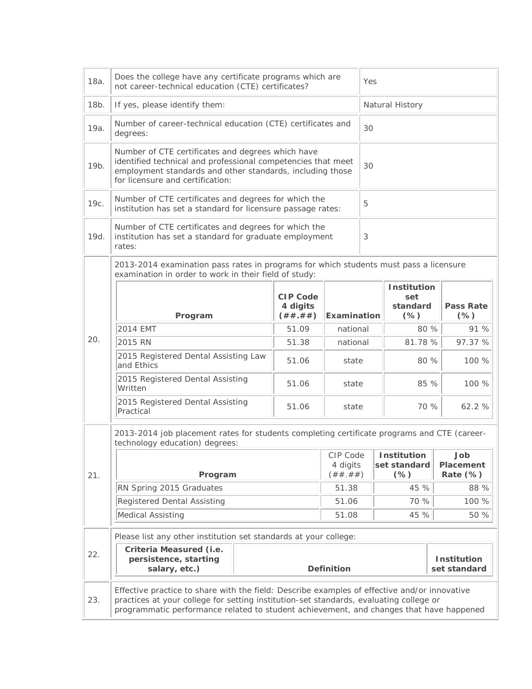| 18a. | Does the college have any certificate programs which are<br>not career-technical education (CTE) certificates?                                                                                                                                                                    |                                          | Yes                             |    |                                                 |                                 |         |
|------|-----------------------------------------------------------------------------------------------------------------------------------------------------------------------------------------------------------------------------------------------------------------------------------|------------------------------------------|---------------------------------|----|-------------------------------------------------|---------------------------------|---------|
| 18b. | If yes, please identify them:                                                                                                                                                                                                                                                     |                                          |                                 |    | Natural History                                 |                                 |         |
| 19a. | Number of career-technical education (CTE) certificates and<br>degrees:                                                                                                                                                                                                           |                                          | 30                              |    |                                                 |                                 |         |
| 19b. | Number of CTE certificates and degrees which have<br>identified technical and professional competencies that meet<br>employment standards and other standards, including those<br>for licensure and certification:                                                                |                                          |                                 | 30 |                                                 |                                 |         |
| 19с. | Number of CTE certificates and degrees for which the<br>institution has set a standard for licensure passage rates:                                                                                                                                                               |                                          |                                 | 5  |                                                 |                                 |         |
| 19d. | Number of CTE certificates and degrees for which the<br>institution has set a standard for graduate employment<br>rates:                                                                                                                                                          |                                          |                                 | 3  |                                                 |                                 |         |
|      | 2013-2014 examination pass rates in programs for which students must pass a licensure<br>examination in order to work in their field of study:                                                                                                                                    |                                          |                                 |    |                                                 |                                 |         |
|      | Program                                                                                                                                                                                                                                                                           | <b>CIP Code</b><br>4 digits<br>( ## .##) | <b>Examination</b>              |    | <b>Institution</b><br>set<br>standard<br>$(\%)$ | <b>Pass Rate</b><br>$(\%)$      |         |
|      | 2014 EMT                                                                                                                                                                                                                                                                          | 51.09                                    | national                        |    | 80 %                                            |                                 | 91 %    |
| 20.  | 2015 RN                                                                                                                                                                                                                                                                           | 51.38                                    | national                        |    | 81.78 %                                         |                                 | 97.37 % |
|      | 2015 Registered Dental Assisting Law<br>and Ethics                                                                                                                                                                                                                                | 51.06                                    | state                           |    | 80 %                                            |                                 | 100 %   |
|      | 2015 Registered Dental Assisting<br>Written                                                                                                                                                                                                                                       | 51.06                                    | state                           |    | 85 %                                            |                                 | 100 %   |
|      | 2015 Registered Dental Assisting<br>Practical                                                                                                                                                                                                                                     | 51.06                                    | state                           |    | 70 %                                            |                                 | 62.2 %  |
|      | 2013-2014 job placement rates for students completing certificate programs and CTE (career-<br>technology education) degrees:                                                                                                                                                     |                                          |                                 |    |                                                 |                                 |         |
| 21.  | Program                                                                                                                                                                                                                                                                           |                                          | CIP Code<br>4 digits<br>(#####) |    | <b>Institution</b><br>set standard<br>$(\%)$    | Job<br>Placement<br>Rate $(\%)$ |         |
|      | RN Spring 2015 Graduates                                                                                                                                                                                                                                                          |                                          | 51.38                           |    | 45 %                                            |                                 | 88 %    |
|      | Registered Dental Assisting                                                                                                                                                                                                                                                       |                                          | 51.06                           |    | 70 %                                            |                                 | 100 %   |
|      | Medical Assisting                                                                                                                                                                                                                                                                 | 51.08                                    | 45 %                            |    | 50 %                                            |                                 |         |
|      | Please list any other institution set standards at your college:                                                                                                                                                                                                                  |                                          |                                 |    |                                                 |                                 |         |
| 22.  | Criteria Measured (i.e.<br>persistence, starting<br>salary, etc.)                                                                                                                                                                                                                 | <b>Definition</b>                        |                                 |    |                                                 | Institution<br>set standard     |         |
| 23.  | Effective practice to share with the field: Describe examples of effective and/or innovative<br>practices at your college for setting institution-set standards, evaluating college or<br>programmatic performance related to student achievement, and changes that have happened |                                          |                                 |    |                                                 |                                 |         |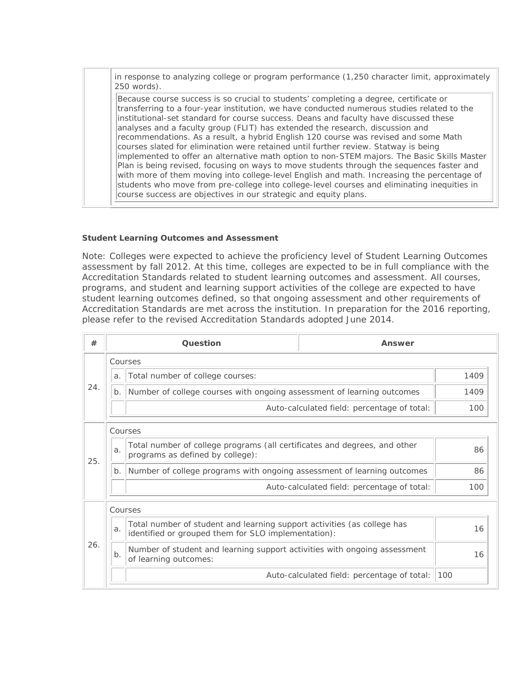in response to analyzing college or program performance (1,250 character limit, approximately 250 words).

Because course success is so crucial to students' completing a degree, certificate or transferring to a four-year institution, we have conducted numerous studies related to the institutional-set standard for course success. Deans and faculty have discussed these analyses and a faculty group (FLIT) has extended the research, discussion and recommendations. As a result, a hybrid English 120 course was revised and some Math courses slated for elimination were retained until further review. Statway is being implemented to offer an alternative math option to non-STEM majors. The Basic Skills Master Plan is being revised, focusing on ways to move students through the sequences faster and with more of them moving into college-level English and math. Increasing the percentage of students who move from pre-college into college-level courses and eliminating inequities in course success are objectives in our strategic and equity plans.

### **Student Learning Outcomes and Assessment**

Note: Colleges were expected to achieve the proficiency level of Student Learning Outcomes assessment by fall 2012. At this time, colleges are expected to be in full compliance with the Accreditation Standards related to student learning outcomes and assessment. All courses, programs, and student and learning support activities of the college are expected to have student learning outcomes defined, so that ongoing assessment and other requirements of Accreditation Standards are met across the institution. In preparation for the 2016 reporting, please refer to the revised Accreditation Standards adopted June 2014.

| #   |         | Question                                                                                                                       | Answer                                      |      |
|-----|---------|--------------------------------------------------------------------------------------------------------------------------------|---------------------------------------------|------|
|     |         | Courses                                                                                                                        |                                             |      |
| 24. | a.      | Total number of college courses:                                                                                               |                                             | 1409 |
|     | $b$ .   | Number of college courses with ongoing assessment of learning outcomes                                                         |                                             | 1409 |
|     |         |                                                                                                                                | Auto-calculated field: percentage of total: | 100  |
|     |         | Courses                                                                                                                        |                                             |      |
| 25. | a.      | Total number of college programs (all certificates and degrees, and other<br>programs as defined by college):                  |                                             | 86   |
|     | b.      | Number of college programs with ongoing assessment of learning outcomes                                                        |                                             | 86   |
|     |         |                                                                                                                                | Auto-calculated field: percentage of total: | 100  |
|     | Courses |                                                                                                                                |                                             |      |
| 26. | a.      | Total number of student and learning support activities (as college has<br>identified or grouped them for SLO implementation): |                                             | 16   |
|     | $b$ .   | Number of student and learning support activities with ongoing assessment<br>of learning outcomes:                             |                                             | 16   |
|     |         |                                                                                                                                | Auto-calculated field: percentage of total: | 100  |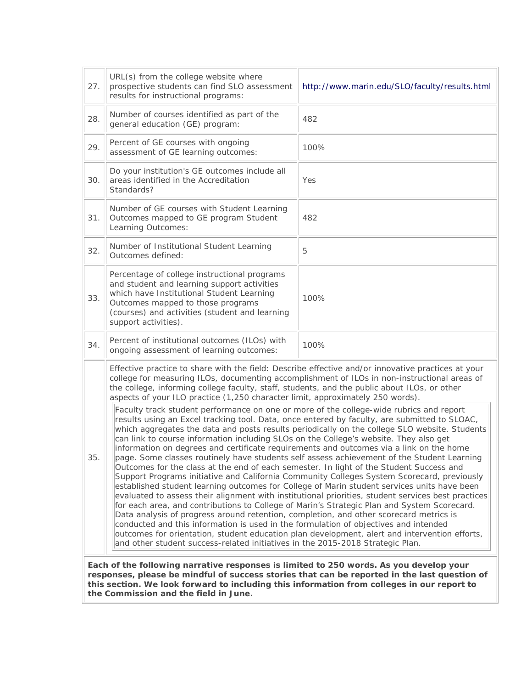| 27.                                                                                                                                                                                                                                                                                                                                                                                                                                                                                                                                                                                                                                                                                                                                                                                                                                                                                                                                                                                                                                                                                                                                                                                                                                                                                                                                                                                                                                                                                                                                                                                                                                                                                                                                                                                                                                         | URL(s) from the college website where<br>prospective students can find SLO assessment<br>results for instructional programs:                                                                                                                            | http://www.marin.edu/SLO/faculty/results.html |  |
|---------------------------------------------------------------------------------------------------------------------------------------------------------------------------------------------------------------------------------------------------------------------------------------------------------------------------------------------------------------------------------------------------------------------------------------------------------------------------------------------------------------------------------------------------------------------------------------------------------------------------------------------------------------------------------------------------------------------------------------------------------------------------------------------------------------------------------------------------------------------------------------------------------------------------------------------------------------------------------------------------------------------------------------------------------------------------------------------------------------------------------------------------------------------------------------------------------------------------------------------------------------------------------------------------------------------------------------------------------------------------------------------------------------------------------------------------------------------------------------------------------------------------------------------------------------------------------------------------------------------------------------------------------------------------------------------------------------------------------------------------------------------------------------------------------------------------------------------|---------------------------------------------------------------------------------------------------------------------------------------------------------------------------------------------------------------------------------------------------------|-----------------------------------------------|--|
| 28.                                                                                                                                                                                                                                                                                                                                                                                                                                                                                                                                                                                                                                                                                                                                                                                                                                                                                                                                                                                                                                                                                                                                                                                                                                                                                                                                                                                                                                                                                                                                                                                                                                                                                                                                                                                                                                         | Number of courses identified as part of the<br>general education (GE) program:                                                                                                                                                                          | 482                                           |  |
| 29.                                                                                                                                                                                                                                                                                                                                                                                                                                                                                                                                                                                                                                                                                                                                                                                                                                                                                                                                                                                                                                                                                                                                                                                                                                                                                                                                                                                                                                                                                                                                                                                                                                                                                                                                                                                                                                         | Percent of GE courses with ongoing<br>assessment of GE learning outcomes:                                                                                                                                                                               | 100%                                          |  |
| 30.                                                                                                                                                                                                                                                                                                                                                                                                                                                                                                                                                                                                                                                                                                                                                                                                                                                                                                                                                                                                                                                                                                                                                                                                                                                                                                                                                                                                                                                                                                                                                                                                                                                                                                                                                                                                                                         | Do your institution's GE outcomes include all<br>areas identified in the Accreditation<br>Standards?                                                                                                                                                    | Yes                                           |  |
| 31.                                                                                                                                                                                                                                                                                                                                                                                                                                                                                                                                                                                                                                                                                                                                                                                                                                                                                                                                                                                                                                                                                                                                                                                                                                                                                                                                                                                                                                                                                                                                                                                                                                                                                                                                                                                                                                         | Number of GE courses with Student Learning<br>Outcomes mapped to GE program Student<br>Learning Outcomes:                                                                                                                                               | 482                                           |  |
| 32.                                                                                                                                                                                                                                                                                                                                                                                                                                                                                                                                                                                                                                                                                                                                                                                                                                                                                                                                                                                                                                                                                                                                                                                                                                                                                                                                                                                                                                                                                                                                                                                                                                                                                                                                                                                                                                         | Number of Institutional Student Learning<br>Outcomes defined:                                                                                                                                                                                           | 5                                             |  |
| 33.                                                                                                                                                                                                                                                                                                                                                                                                                                                                                                                                                                                                                                                                                                                                                                                                                                                                                                                                                                                                                                                                                                                                                                                                                                                                                                                                                                                                                                                                                                                                                                                                                                                                                                                                                                                                                                         | Percentage of college instructional programs<br>and student and learning support activities<br>which have Institutional Student Learning<br>Outcomes mapped to those programs<br>(courses) and activities (student and learning<br>support activities). | 100%                                          |  |
| 34.                                                                                                                                                                                                                                                                                                                                                                                                                                                                                                                                                                                                                                                                                                                                                                                                                                                                                                                                                                                                                                                                                                                                                                                                                                                                                                                                                                                                                                                                                                                                                                                                                                                                                                                                                                                                                                         | Percent of institutional outcomes (ILOs) with<br>ongoing assessment of learning outcomes:                                                                                                                                                               | 100%                                          |  |
| Effective practice to share with the field: Describe effective and/or innovative practices at your<br>college for measuring ILOs, documenting accomplishment of ILOs in non-instructional areas of<br>the college, informing college faculty, staff, students, and the public about ILOs, or other<br>aspects of your ILO practice (1,250 character limit, approximately 250 words).<br>Faculty track student performance on one or more of the college-wide rubrics and report<br>results using an Excel tracking tool. Data, once entered by faculty, are submitted to SLOAC,<br>which aggregates the data and posts results periodically on the college SLO website. Students<br>can link to course information including SLOs on the College's website. They also get<br>information on degrees and certificate requirements and outcomes via a link on the home<br>35.<br>page. Some classes routinely have students self assess achievement of the Student Learning<br>Outcomes for the class at the end of each semester. In light of the Student Success and<br>Support Programs initiative and California Community Colleges System Scorecard, previously<br>established student learning outcomes for College of Marin student services units have been<br>evaluated to assess their alignment with institutional priorities, student services best practices<br>for each area, and contributions to College of Marin's Strategic Plan and System Scorecard.<br>Data analysis of progress around retention, completion, and other scorecard metrics is<br>conducted and this information is used in the formulation of objectives and intended<br>outcomes for orientation, student education plan development, alert and intervention efforts,<br>and other student success-related initiatives in the 2015-2018 Strategic Plan. |                                                                                                                                                                                                                                                         |                                               |  |

**Each of the following narrative responses is limited to 250 words. As you develop your responses, please be mindful of success stories that can be reported in the last question of this section. We look forward to including this information from colleges in our report to the Commission and the field in June.**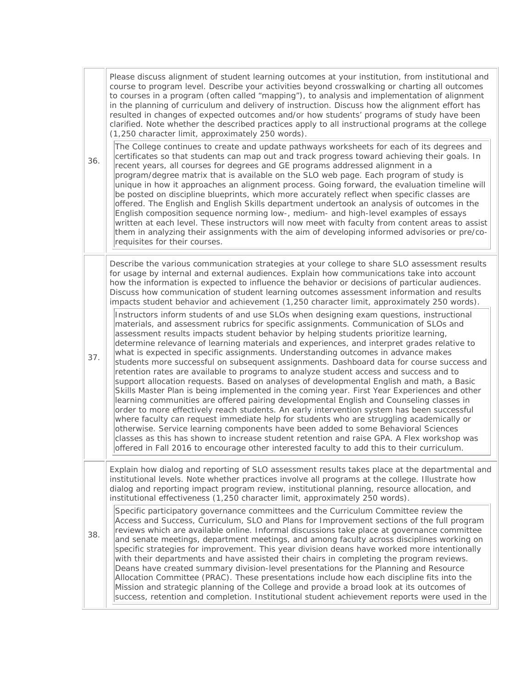| 36. | Please discuss alignment of student learning outcomes at your institution, from institutional and<br>course to program level. Describe your activities beyond crosswalking or charting all outcomes<br>to courses in a program (often called "mapping"), to analysis and implementation of alignment<br>in the planning of curriculum and delivery of instruction. Discuss how the alignment effort has<br>resulted in changes of expected outcomes and/or how students' programs of study have been<br>clarified. Note whether the described practices apply to all instructional programs at the college<br>(1,250 character limit, approximately 250 words).<br>The College continues to create and update pathways worksheets for each of its degrees and<br>certificates so that students can map out and track progress toward achieving their goals. In<br>recent years, all courses for degrees and GE programs addressed alignment in a<br>program/degree matrix that is available on the SLO web page. Each program of study is<br>unique in how it approaches an alignment process. Going forward, the evaluation timeline will<br>be posted on discipline blueprints, which more accurately reflect when specific classes are<br>offered. The English and English Skills department undertook an analysis of outcomes in the<br>English composition sequence norming low-, medium- and high-level examples of essays<br>written at each level. These instructors will now meet with faculty from content areas to assist<br>them in analyzing their assignments with the aim of developing informed advisories or pre/co-<br>requisites for their courses.                                                                                                                                                                                                                                                  |
|-----|-------------------------------------------------------------------------------------------------------------------------------------------------------------------------------------------------------------------------------------------------------------------------------------------------------------------------------------------------------------------------------------------------------------------------------------------------------------------------------------------------------------------------------------------------------------------------------------------------------------------------------------------------------------------------------------------------------------------------------------------------------------------------------------------------------------------------------------------------------------------------------------------------------------------------------------------------------------------------------------------------------------------------------------------------------------------------------------------------------------------------------------------------------------------------------------------------------------------------------------------------------------------------------------------------------------------------------------------------------------------------------------------------------------------------------------------------------------------------------------------------------------------------------------------------------------------------------------------------------------------------------------------------------------------------------------------------------------------------------------------------------------------------------------------------------------------------------------------------------------------------------------------------------------------------|
| 37. | Describe the various communication strategies at your college to share SLO assessment results<br>for usage by internal and external audiences. Explain how communications take into account<br>how the information is expected to influence the behavior or decisions of particular audiences.<br>Discuss how communication of student learning outcomes assessment information and results<br>impacts student behavior and achievement (1,250 character limit, approximately 250 words).<br>Instructors inform students of and use SLOs when designing exam questions, instructional<br>materials, and assessment rubrics for specific assignments. Communication of SLOs and<br>assessment results impacts student behavior by helping students prioritize learning,<br>determine relevance of learning materials and experiences, and interpret grades relative to<br>what is expected in specific assignments. Understanding outcomes in advance makes<br>students more successful on subsequent assignments. Dashboard data for course success and<br>retention rates are available to programs to analyze student access and success and to<br>support allocation requests. Based on analyses of developmental English and math, a Basic<br>Skills Master Plan is being implemented in the coming year. First Year Experiences and other<br>learning communities are offered pairing developmental English and Counseling classes in<br>order to more effectively reach students. An early intervention system has been successful<br>where faculty can request immediate help for students who are struggling academically or<br>otherwise. Service learning components have been added to some Behavioral Sciences<br>classes as this has shown to increase student retention and raise GPA. A Flex workshop was<br>offered in Fall 2016 to encourage other interested faculty to add this to their curriculum. |
| 38. | Explain how dialog and reporting of SLO assessment results takes place at the departmental and<br>institutional levels. Note whether practices involve all programs at the college. Illustrate how<br>dialog and reporting impact program review, institutional planning, resource allocation, and<br>institutional effectiveness (1,250 character limit, approximately 250 words).<br>Specific participatory governance committees and the Curriculum Committee review the<br>Access and Success, Curriculum, SLO and Plans for Improvement sections of the full program<br>reviews which are available online. Informal discussions take place at governance committee<br>and senate meetings, department meetings, and among faculty across disciplines working on<br>specific strategies for improvement. This year division deans have worked more intentionally<br>with their departments and have assisted their chairs in completing the program reviews.<br>Deans have created summary division-level presentations for the Planning and Resource<br>Allocation Committee (PRAC). These presentations include how each discipline fits into the<br>Mission and strategic planning of the College and provide a broad look at its outcomes of<br>success, retention and completion. Institutional student achievement reports were used in the                                                                                                                                                                                                                                                                                                                                                                                                                                                                                                                                                                  |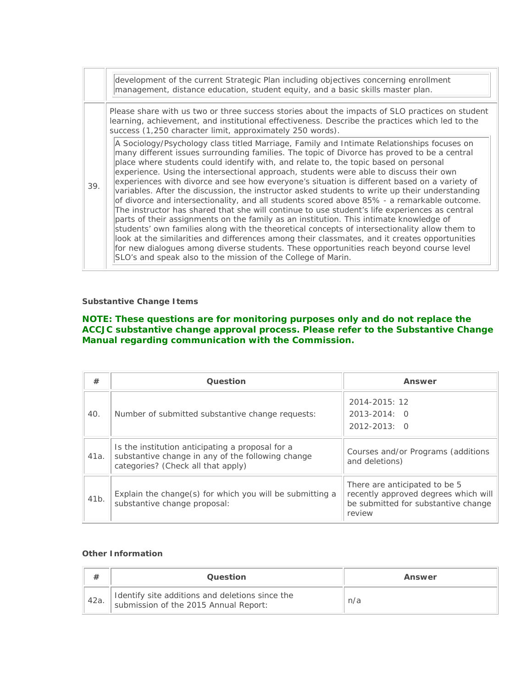|     | development of the current Strategic Plan including objectives concerning enrollment<br>management, distance education, student equity, and a basic skills master plan.                                                                                                                                                                                                                                                                                                                                                                                                                                                                                                                                                                                                                                                                                                                                                                                                                                                                                                                                                                                                                                                              |
|-----|--------------------------------------------------------------------------------------------------------------------------------------------------------------------------------------------------------------------------------------------------------------------------------------------------------------------------------------------------------------------------------------------------------------------------------------------------------------------------------------------------------------------------------------------------------------------------------------------------------------------------------------------------------------------------------------------------------------------------------------------------------------------------------------------------------------------------------------------------------------------------------------------------------------------------------------------------------------------------------------------------------------------------------------------------------------------------------------------------------------------------------------------------------------------------------------------------------------------------------------|
|     | Please share with us two or three success stories about the impacts of SLO practices on student<br>learning, achievement, and institutional effectiveness. Describe the practices which led to the<br>success (1,250 character limit, approximately 250 words).                                                                                                                                                                                                                                                                                                                                                                                                                                                                                                                                                                                                                                                                                                                                                                                                                                                                                                                                                                      |
| 39. | A Sociology/Psychology class titled Marriage, Family and Intimate Relationships focuses on<br>many different issues surrounding families. The topic of Divorce has proved to be a central<br>place where students could identify with, and relate to, the topic based on personal<br>experience. Using the intersectional approach, students were able to discuss their own<br>experiences with divorce and see how everyone's situation is different based on a variety of<br>variables. After the discussion, the instructor asked students to write up their understanding<br>of divorce and intersectionality, and all students scored above 85% - a remarkable outcome.<br>The instructor has shared that she will continue to use student's life experiences as central<br>parts of their assignments on the family as an institution. This intimate knowledge of<br>students' own families along with the theoretical concepts of intersectionality allow them to<br>look at the similarities and differences among their classmates, and it creates opportunities<br>for new dialogues among diverse students. These opportunities reach beyond course level<br>SLO's and speak also to the mission of the College of Marin. |

### **Substantive Change Items**

## **NOTE: These questions are for monitoring purposes only and do not replace the ACCJC substantive change approval process. Please refer to the Substantive Change Manual regarding communication with the Commission.**

| #    | Question                                                                                                                                    | Answer                                                                                                                 |
|------|---------------------------------------------------------------------------------------------------------------------------------------------|------------------------------------------------------------------------------------------------------------------------|
| 40.  | Number of submitted substantive change requests:                                                                                            | 2014-2015: 12<br>$2013 - 2014$ : 0<br>$2012 - 2013$ ; 0                                                                |
| 41a. | Is the institution anticipating a proposal for a<br>substantive change in any of the following change<br>categories? (Check all that apply) | Courses and/or Programs (additions<br>and deletions)                                                                   |
| 41b. | Explain the change(s) for which you will be submitting a<br>substantive change proposal:                                                    | There are anticipated to be 5<br>recently approved degrees which will<br>be submitted for substantive change<br>review |

### **Other Information**

|       | Question                                                                                 | Answer |
|-------|------------------------------------------------------------------------------------------|--------|
| `42a. | Identify site additions and deletions since the<br>submission of the 2015 Annual Report: | n/a    |